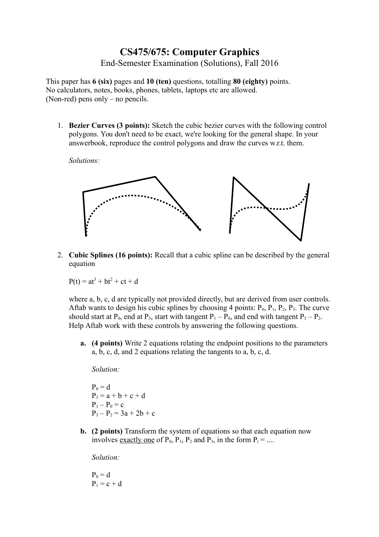# **CS475/675: Computer Graphics** End-Semester Examination (Solutions), Fall 2016

This paper has **6 (six)** pages and **10 (ten)** questions, totalling **80 (eighty)** points. No calculators, notes, books, phones, tablets, laptops etc are allowed. (Non-red) pens only – no pencils.

1. **Bezier Curves (3 points):** Sketch the cubic bezier curves with the following control polygons. You don't need to be exact, we're looking for the general shape. In your answerbook, reproduce the control polygons and draw the curves w.r.t. them.

*Solutions:*



2. **Cubic Splines (16 points):** Recall that a cubic spline can be described by the general equation

 $P(t) = at^3 + bt^2 + ct + d$ 

where a, b, c, d are typically not provided directly, but are derived from user controls. Aftab wants to design his cubic splines by choosing 4 points:  $P_0$ ,  $P_1$ ,  $P_2$ ,  $P_3$ . The curve should start at  $P_0$ , end at  $P_3$ , start with tangent  $P_1 - P_0$ , and end with tangent  $P_3 - P_2$ . Help Aftab work with these controls by answering the following questions.

**a. (4 points)** Write 2 equations relating the endpoint positions to the parameters a, b, c, d, and 2 equations relating the tangents to a, b, c, d.

*Solution:*

 $P_0 = d$  $P_3 = a + b + c + d$  $P_1 - P_0 = c$  $P_3 - P_2 = 3a + 2b + c$ 

**b. (2 points)** Transform the system of equations so that each equation now involves <u>exactly one</u> of  $P_0$ ,  $P_1$ ,  $P_2$  and  $P_3$ , in the form  $P_i = ...$ 

*Solution:*

 $P_0 = d$  $P_1 = c + d$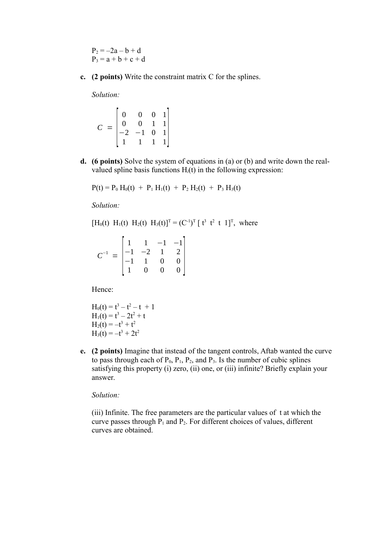$P_2 = -2a - b + d$  $P_3 = a + b + c + d$ 

**c. (2 points)** Write the constraint matrix C for the splines.

*Solution:*

$$
C = \begin{bmatrix} 0 & 0 & 0 & 1 \\ 0 & 0 & 1 & 1 \\ -2 & -1 & 0 & 1 \\ 1 & 1 & 1 & 1 \end{bmatrix}
$$

**d. (6 points)** Solve the system of equations in (a) or (b) and write down the realvalued spline basis functions H*i*(t) in the following expression:

$$
P(t) = P_0 H_0(t) + P_1 H_1(t) + P_2 H_2(t) + P_3 H_3(t)
$$

*Solution:*

$$
[H_0(t) H_1(t) H_2(t) H_3(t)]^T = (C^{-1})^T [t^3 t^2 t 1]^T
$$
, where

| $C^{-1}$ | $\mathbf{1}$                                                           | $-1$ | $\begin{bmatrix} -1 \\ 2 \end{bmatrix}$ |  |
|----------|------------------------------------------------------------------------|------|-----------------------------------------|--|
|          | $\begin{vmatrix} 1 & 1 & 1 \\ -1 & -2 & 1 \\ -1 & 1 & 0 \end{vmatrix}$ |      |                                         |  |
|          |                                                                        |      |                                         |  |
|          | $\overline{0}$                                                         |      |                                         |  |

Hence:

$$
H0(t) = t3 - t2 - t + 1
$$
  
\n
$$
H1(t) = t3 - 2t2 + t
$$
  
\n
$$
H2(t) = -t3 + t2
$$
  
\n
$$
H3(t) = -t3 + 2t2
$$

**e. (2 points)** Imagine that instead of the tangent controls, Aftab wanted the curve to pass through each of  $P_0$ ,  $P_1$ ,  $P_2$ , and  $P_3$ . Is the number of cubic splines satisfying this property (i) zero, (ii) one, or (iii) infinite? Briefly explain your answer.

*Solution:*

(iii) Infinite. The free parameters are the particular values of t at which the curve passes through  $P_1$  and  $P_2$ . For different choices of values, different curves are obtained.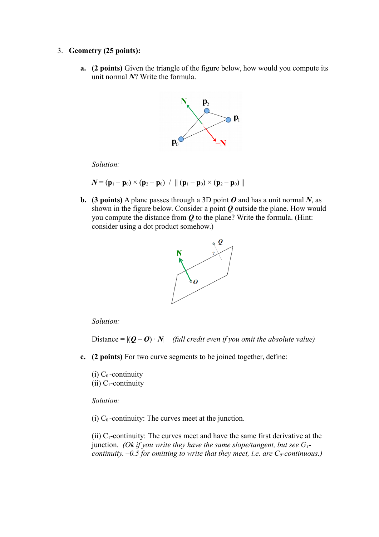#### 3. **Geometry (25 points):**

**a. (2 points)** Given the triangle of the figure below, how would you compute its unit normal *N*? Write the formula.



*Solution:*

$$
N = (\mathbf{p}_1 - \mathbf{p}_0) \times (\mathbf{p}_2 - \mathbf{p}_0) / || (\mathbf{p}_1 - \mathbf{p}_0) \times (\mathbf{p}_2 - \mathbf{p}_0) ||
$$

**b. (3 points)** A plane passes through a 3D point  $O$  and has a unit normal  $N$ , as shown in the figure below. Consider a point *Q* outside the plane. How would you compute the distance from *Q* to the plane? Write the formula. (Hint: consider using a dot product somehow.)



#### *Solution:*

Distance =  $|(\boldsymbol{0} - \boldsymbol{0}) \cdot \boldsymbol{N}|$  *(full credit even if you omit the absolute value)* 

**c. (2 points)** For two curve segments to be joined together, define:

(i)  $C_0$ -continuity (ii)  $C_1$ -continuity

*Solution:*

(i)  $C_0$ -continuity: The curves meet at the junction.

(ii)  $C_1$ -continuity: The curves meet and have the same first derivative at the junction. *(Ok if you write they have the same slope/tangent, but see G1 continuity.*  $-0.5$  *for omitting to write that they meet, i.e. are*  $C_0$ *-continuous.)*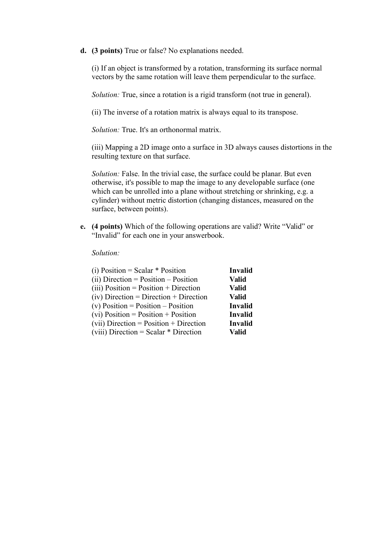**d. (3 points)** True or false? No explanations needed.

(i) If an object is transformed by a rotation, transforming its surface normal vectors by the same rotation will leave them perpendicular to the surface.

*Solution:* True, since a rotation is a rigid transform (not true in general).

(ii) The inverse of a rotation matrix is always equal to its transpose.

*Solution:* True. It's an orthonormal matrix.

(iii) Mapping a 2D image onto a surface in 3D always causes distortions in the resulting texture on that surface.

*Solution:* False. In the trivial case, the surface could be planar. But even otherwise, it's possible to map the image to any developable surface (one which can be unrolled into a plane without stretching or shrinking, e.g. a cylinder) without metric distortion (changing distances, measured on the surface, between points).

**e. (4 points)** Which of the following operations are valid? Write "Valid" or "Invalid" for each one in your answerbook.

#### *Solution:*

| (i) Position = Scalar $*$ Position        | Invalid        |
|-------------------------------------------|----------------|
| $(ii)$ Direction = Position – Position    | <b>Valid</b>   |
| $(iii)$ Position = Position + Direction   | <b>Valid</b>   |
| $(iv)$ Direction = Direction + Direction  | <b>Valid</b>   |
| (v) Position = Position $-$ Position      | Invalid        |
| $(vi)$ Position = Position + Position     | <b>Invalid</b> |
| $(vii)$ Direction = Position + Direction  | Invalid        |
| $(viii)$ Direction = Scalar $*$ Direction | Valid          |
|                                           |                |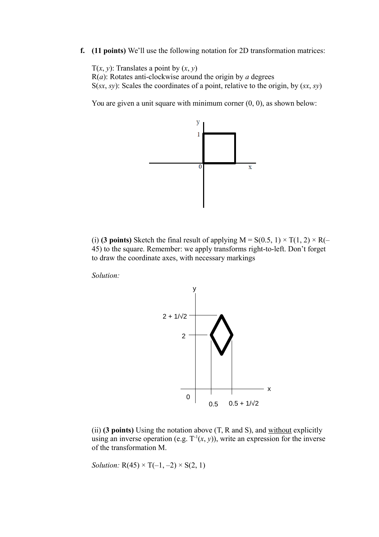**f. (11 points)** We'll use the following notation for 2D transformation matrices:

T(*x*, *y*): Translates a point by  $(x, y)$  $R(a)$ : Rotates anti-clockwise around the origin by *a* degrees S(*sx*, *sy*): Scales the coordinates of a point, relative to the origin, by (*sx*, *sy*)

You are given a unit square with minimum corner  $(0, 0)$ , as shown below:



(i) **(3 points)** Sketch the final result of applying  $M = S(0.5, 1) \times T(1, 2) \times R(-$ 45) to the square. Remember: we apply transforms right-to-left. Don't forget to draw the coordinate axes, with necessary markings

*Solution:*



(ii) **(3 points)** Using the notation above (T, R and S), and without explicitly using an inverse operation (e.g.  $T^{-1}(x, y)$ ), write an expression for the inverse of the transformation M.

*Solution:*  $R(45) \times T(-1, -2) \times S(2, 1)$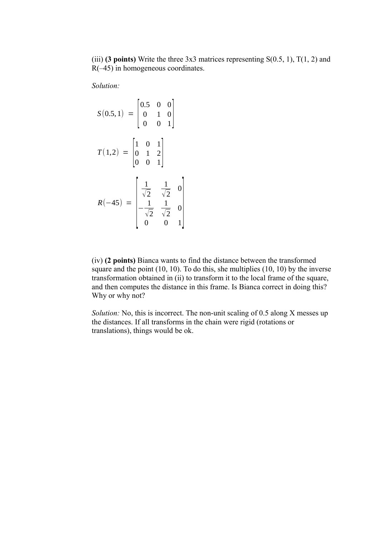(iii) **(3 points)** Write the three  $3x3$  matrices representing  $S(0.5, 1)$ ,  $T(1, 2)$  and  $R(-45)$  in homogeneous coordinates.

*Solution:*

$$
S(0.5,1) = \begin{bmatrix} 0.5 & 0 & 0 \\ 0 & 1 & 0 \\ 0 & 0 & 1 \end{bmatrix}
$$

$$
T(1,2) = \begin{bmatrix} 1 & 0 & 1 \\ 0 & 1 & 2 \\ 0 & 0 & 1 \end{bmatrix}
$$

$$
R(-45) = \begin{bmatrix} \frac{1}{\sqrt{2}} & \frac{1}{\sqrt{2}} & 0 \\ -\frac{1}{\sqrt{2}} & \frac{1}{\sqrt{2}} & 0 \\ 0 & 0 & 1 \end{bmatrix}
$$

(iv) **(2 points)** Bianca wants to find the distance between the transformed square and the point (10, 10). To do this, she multiplies (10, 10) by the inverse transformation obtained in (ii) to transform it to the local frame of the square, and then computes the distance in this frame. Is Bianca correct in doing this? Why or why not?

*Solution:* No, this is incorrect. The non-unit scaling of 0.5 along X messes up the distances. If all transforms in the chain were rigid (rotations or translations), things would be ok.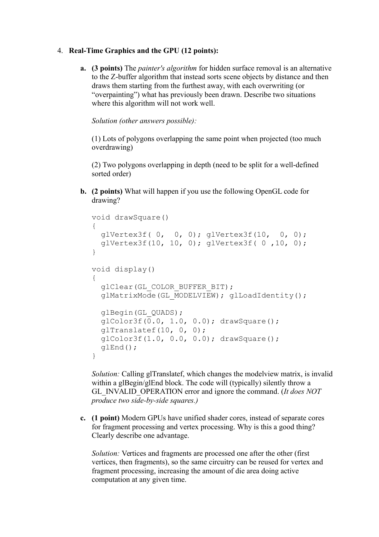### 4. **Real-Time Graphics and the GPU (12 points):**

**a. (3 points)** The *painter's algorithm* for hidden surface removal is an alternative to the Z-buffer algorithm that instead sorts scene objects by distance and then draws them starting from the furthest away, with each overwriting (or "overpainting") what has previously been drawn. Describe two situations where this algorithm will not work well.

*Solution (other answers possible):*

(1) Lots of polygons overlapping the same point when projected (too much overdrawing)

(2) Two polygons overlapping in depth (need to be split for a well-defined sorted order)

**b. (2 points)** What will happen if you use the following OpenGL code for drawing?

```
void drawSquare()
{
   glVertex3f( 0, 0, 0); glVertex3f(10, 0, 0);
   glVertex3f(10, 10, 0); glVertex3f( 0 ,10, 0);
}
void display()
{
   glClear(GL_COLOR_BUFFER_BIT);
  glMatrixMode(GL_MODELVIEW); glLoadIdentity();
   glBegin(GL_QUADS);
   glColor3f(0.0, 1.0, 0.0); drawSquare();
   glTranslatef(10, 0, 0);
   glColor3f(1.0, 0.0, 0.0); drawSquare();
   glEnd();
}
```
*Solution:* Calling glTranslatef, which changes the modelview matrix, is invalid within a glBegin/glEnd block. The code will (typically) silently throw a GL\_INVALID\_OPERATION error and ignore the command. (*It does NOT produce two side-by-side squares.)*

**c. (1 point)** Modern GPUs have unified shader cores, instead of separate cores for fragment processing and vertex processing. Why is this a good thing? Clearly describe one advantage.

*Solution:* Vertices and fragments are processed one after the other (first vertices, then fragments), so the same circuitry can be reused for vertex and fragment processing, increasing the amount of die area doing active computation at any given time.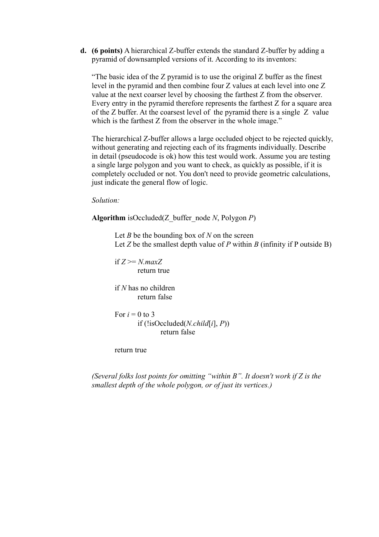**d. (6 points)** A hierarchical Z-buffer extends the standard Z-buffer by adding a pyramid of downsampled versions of it. According to its inventors:

"The basic idea of the Z pyramid is to use the original Z buffer as the finest level in the pyramid and then combine four Z values at each level into one Z value at the next coarser level by choosing the farthest Z from the observer. Every entry in the pyramid therefore represents the farthest Z for a square area of the Z buffer. At the coarsest level of the pyramid there is a single  $Z$  value which is the farthest Z from the observer in the whole image."

The hierarchical Z-buffer allows a large occluded object to be rejected quickly, without generating and rejecting each of its fragments individually. Describe in detail (pseudocode is ok) how this test would work. Assume you are testing a single large polygon and you want to check, as quickly as possible, if it is completely occluded or not. You don't need to provide geometric calculations, just indicate the general flow of logic.

#### *Solution:*

**Algorithm** isOccluded(Z\_buffer\_node *N*, Polygon *P*)

Let *B* be the bounding box of *N* on the screen Let *Z* be the smallest depth value of *P* within *B* (infinity if P outside B)

if  $Z \geq N$ *max* $Z$ return true

if *N* has no children return false

For  $i = 0$  to 3 if (!isOccluded(*N.child*[*i*], *P*)) return false

return true

*(Several folks lost points for omitting "within B". It doesn't work if Z is the smallest depth of the whole polygon, or of just its vertices.)*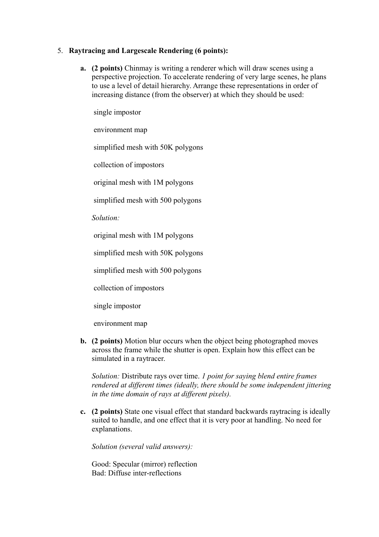### 5. **Raytracing and Largescale Rendering (6 points):**

**a. (2 points)** Chinmay is writing a renderer which will draw scenes using a perspective projection. To accelerate rendering of very large scenes, he plans to use a level of detail hierarchy. Arrange these representations in order of increasing distance (from the observer) at which they should be used:

single impostor

environment map

simplified mesh with 50K polygons

collection of impostors

original mesh with 1M polygons

simplified mesh with 500 polygons

*Solution:*

original mesh with 1M polygons

simplified mesh with 50K polygons

simplified mesh with 500 polygons

collection of impostors

single impostor

environment map

**b. (2 points)** Motion blur occurs when the object being photographed moves across the frame while the shutter is open. Explain how this effect can be simulated in a raytracer.

*Solution:* Distribute rays over time. *1 point for saying blend entire frames rendered at different times (ideally, there should be some independent jittering in the time domain of rays at different pixels).*

**c. (2 points)** State one visual effect that standard backwards raytracing is ideally suited to handle, and one effect that it is very poor at handling. No need for explanations.

*Solution (several valid answers):*

Good: Specular (mirror) reflection Bad: Diffuse inter-reflections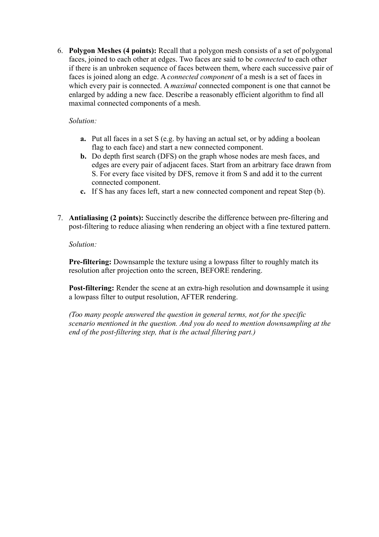6. **Polygon Meshes (4 points):** Recall that a polygon mesh consists of a set of polygonal faces, joined to each other at edges. Two faces are said to be *connected* to each other if there is an unbroken sequence of faces between them, where each successive pair of faces is joined along an edge. A *connected component* of a mesh is a set of faces in which every pair is connected. A *maximal* connected component is one that cannot be enlarged by adding a new face. Describe a reasonably efficient algorithm to find all maximal connected components of a mesh.

## *Solution:*

- **a.** Put all faces in a set S (e.g. by having an actual set, or by adding a boolean flag to each face) and start a new connected component.
- **b.** Do depth first search (DFS) on the graph whose nodes are mesh faces, and edges are every pair of adjacent faces. Start from an arbitrary face drawn from S. For every face visited by DFS, remove it from S and add it to the current connected component.
- **c.** If S has any faces left, start a new connected component and repeat Step (b).
- 7. **Antialiasing (2 points):** Succinctly describe the difference between pre-filtering and post-filtering to reduce aliasing when rendering an object with a fine textured pattern.

## *Solution:*

**Pre-filtering:** Downsample the texture using a lowpass filter to roughly match its resolution after projection onto the screen, BEFORE rendering.

**Post-filtering:** Render the scene at an extra-high resolution and downsample it using a lowpass filter to output resolution, AFTER rendering.

*(Too many people answered the question in general terms, not for the specific scenario mentioned in the question. And you do need to mention downsampling at the end of the post-filtering step, that is the actual filtering part.)*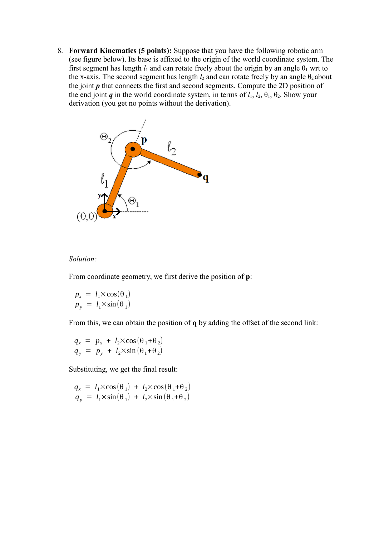8. **Forward Kinematics (5 points):** Suppose that you have the following robotic arm (see figure below). Its base is affixed to the origin of the world coordinate system. The first segment has length  $l_1$  and can rotate freely about the origin by an angle  $\theta_1$  wrt to the x-axis. The second segment has length  $l_2$  and can rotate freely by an angle  $\theta_2$  about the joint *p* that connects the first and second segments. Compute the 2D position of the end joint *q* in the world coordinate system, in terms of  $l_1$ ,  $l_2$ ,  $\theta_1$ ,  $\theta_2$ . Show your derivation (you get no points without the derivation).



#### *Solution:*

From coordinate geometry, we first derive the position of **p**:

$$
p_x = l_1 \times \cos(\theta_1)
$$
  

$$
p_y = l_1 \times \sin(\theta_1)
$$

From this, we can obtain the position of **q** by adding the offset of the second link:

$$
q_x = p_x + l_2 \times \cos(\theta_1 + \theta_2)
$$
  
\n
$$
q_y = p_y + l_2 \times \sin(\theta_1 + \theta_2)
$$

Substituting, we get the final result:

$$
q_x = l_1 \times \cos(\theta_1) + l_2 \times \cos(\theta_1 + \theta_2)
$$
  
\n
$$
q_y = l_1 \times \sin(\theta_1) + l_2 \times \sin(\theta_1 + \theta_2)
$$